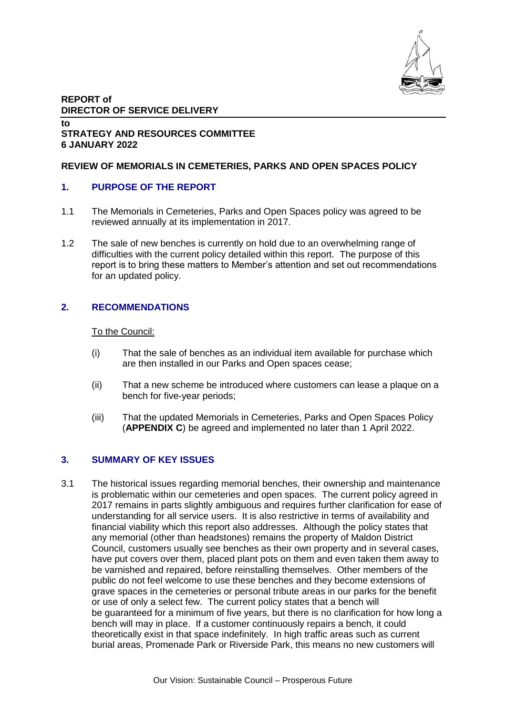

# **REPORT of DIRECTOR OF SERVICE DELIVERY**

#### **to STRATEGY AND RESOURCES COMMITTEE 6 JANUARY 2022**

### **REVIEW OF MEMORIALS IN CEMETERIES, PARKS AND OPEN SPACES POLICY**

# **1. PURPOSE OF THE REPORT**

- 1.1 The Memorials in Cemeteries, Parks and Open Spaces policy was agreed to be reviewed annually at its implementation in 2017.
- 1.2 The sale of new benches is currently on hold due to an overwhelming range of difficulties with the current policy detailed within this report. The purpose of this report is to bring these matters to Member's attention and set out recommendations for an updated policy.

# **2. RECOMMENDATIONS**

#### To the Council:

- (i) That the sale of benches as an individual item available for purchase which are then installed in our Parks and Open spaces cease;
- (ii) That a new scheme be introduced where customers can lease a plaque on a bench for five-year periods;
- (iii) That the updated Memorials in Cemeteries, Parks and Open Spaces Policy (**APPENDIX C**) be agreed and implemented no later than 1 April 2022.

### **3. SUMMARY OF KEY ISSUES**

3.1 The historical issues regarding memorial benches, their ownership and maintenance is problematic within our cemeteries and open spaces. The current policy agreed in 2017 remains in parts slightly ambiguous and requires further clarification for ease of understanding for all service users. It is also restrictive in terms of availability and financial viability which this report also addresses. Although the policy states that any memorial (other than headstones) remains the property of Maldon District Council, customers usually see benches as their own property and in several cases, have put covers over them, placed plant pots on them and even taken them away to be varnished and repaired, before reinstalling themselves. Other members of the public do not feel welcome to use these benches and they become extensions of grave spaces in the cemeteries or personal tribute areas in our parks for the benefit or use of only a select few. The current policy states that a bench will be guaranteed for a minimum of five years, but there is no clarification for how long a bench will may in place. If a customer continuously repairs a bench, it could theoretically exist in that space indefinitely. In high traffic areas such as current burial areas, Promenade Park or Riverside Park, this means no new customers will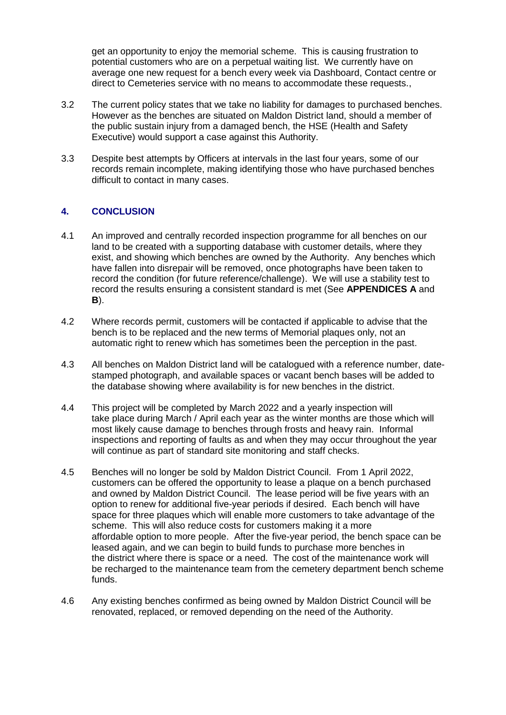get an opportunity to enjoy the memorial scheme. This is causing frustration to potential customers who are on a perpetual waiting list. We currently have on average one new request for a bench every week via Dashboard, Contact centre or direct to Cemeteries service with no means to accommodate these requests.,

- 3.2 The current policy states that we take no liability for damages to purchased benches. However as the benches are situated on Maldon District land, should a member of the public sustain injury from a damaged bench, the HSE (Health and Safety Executive) would support a case against this Authority.
- 3.3 Despite best attempts by Officers at intervals in the last four years, some of our records remain incomplete, making identifying those who have purchased benches difficult to contact in many cases.

### **4. CONCLUSION**

- 4.1 An improved and centrally recorded inspection programme for all benches on our land to be created with a supporting database with customer details, where they exist, and showing which benches are owned by the Authority. Any benches which have fallen into disrepair will be removed, once photographs have been taken to record the condition (for future reference/challenge). We will use a stability test to record the results ensuring a consistent standard is met (See **APPENDICES A** and **B**).
- 4.2 Where records permit, customers will be contacted if applicable to advise that the bench is to be replaced and the new terms of Memorial plaques only, not an automatic right to renew which has sometimes been the perception in the past.
- 4.3 All benches on Maldon District land will be catalogued with a reference number, datestamped photograph, and available spaces or vacant bench bases will be added to the database showing where availability is for new benches in the district.
- 4.4 This project will be completed by March 2022 and a yearly inspection will take place during March / April each year as the winter months are those which will most likely cause damage to benches through frosts and heavy rain. Informal inspections and reporting of faults as and when they may occur throughout the year will continue as part of standard site monitoring and staff checks.
- 4.5 Benches will no longer be sold by Maldon District Council. From 1 April 2022, customers can be offered the opportunity to lease a plaque on a bench purchased and owned by Maldon District Council. The lease period will be five years with an option to renew for additional five-year periods if desired. Each bench will have space for three plaques which will enable more customers to take advantage of the scheme. This will also reduce costs for customers making it a more affordable option to more people. After the five-year period, the bench space can be leased again, and we can begin to build funds to purchase more benches in the district where there is space or a need. The cost of the maintenance work will be recharged to the maintenance team from the cemetery department bench scheme funds.
- 4.6 Any existing benches confirmed as being owned by Maldon District Council will be renovated, replaced, or removed depending on the need of the Authority.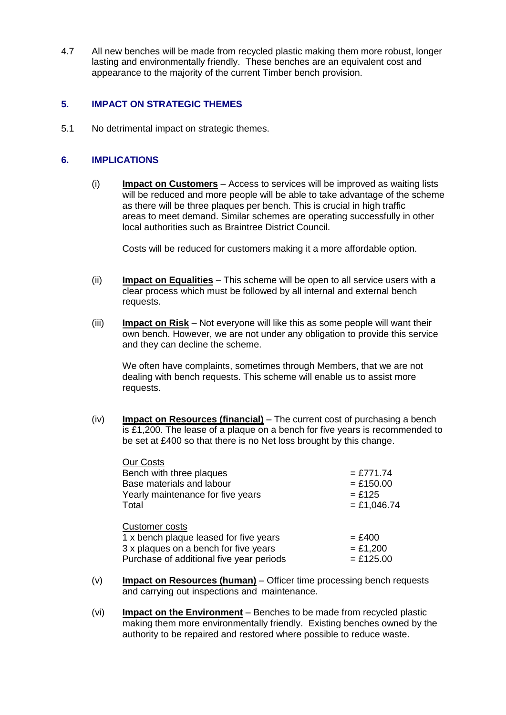4.7 All new benches will be made from recycled plastic making them more robust, longer lasting and environmentally friendly. These benches are an equivalent cost and appearance to the majority of the current Timber bench provision.

# **5. IMPACT ON STRATEGIC THEMES**

5.1 No detrimental impact on strategic themes.

### **6. IMPLICATIONS**

(i) **Impact on Customers** – Access to services will be improved as waiting lists will be reduced and more people will be able to take advantage of the scheme as there will be three plaques per bench. This is crucial in high traffic areas to meet demand. Similar schemes are operating successfully in other local authorities such as Braintree District Council.

Costs will be reduced for customers making it a more affordable option.

- (ii) **Impact on Equalities** This scheme will be open to all service users with a clear process which must be followed by all internal and external bench requests.
- (iii) **Impact on Risk** Not everyone will like this as some people will want their own bench. However, we are not under any obligation to provide this service and they can decline the scheme.

We often have complaints, sometimes through Members, that we are not dealing with bench requests. This scheme will enable us to assist more requests.

(iv) **Impact on Resources (financial)** – The current cost of purchasing a bench is £1,200. The lease of a plaque on a bench for five years is recommended to be set at £400 so that there is no Net loss brought by this change.

| <b>Our Costs</b>                         |               |
|------------------------------------------|---------------|
| Bench with three plaques                 | $=$ £771.74   |
| Base materials and labour                | $= £150.00$   |
| Yearly maintenance for five years        | $=$ £125      |
| Total                                    | $=$ £1,046.74 |
|                                          |               |
| <b>Customer costs</b>                    |               |
| 1 x bench plaque leased for five years   | $= £400$      |
| 3 x plaques on a bench for five years    | $= £1,200$    |
| Purchase of additional five year periods | $=$ £125.00   |

- (v) **Impact on Resources (human)** Officer time processing bench requests and carrying out inspections and maintenance.
- (vi) **Impact on the Environment** Benches to be made from recycled plastic making them more environmentally friendly. Existing benches owned by the authority to be repaired and restored where possible to reduce waste.